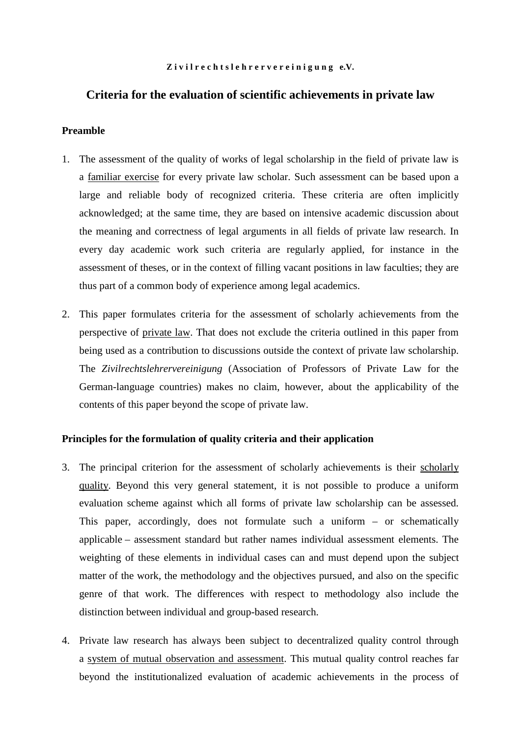#### Zivilrechtslehrervereinigung e.V.

# **Criteria for the evaluation of scientific achievements in private law**

## **Preamble**

- 1. The assessment of the quality of works of legal scholarship in the field of private law is a familiar exercise for every private law scholar. Such assessment can be based upon a large and reliable body of recognized criteria. These criteria are often implicitly acknowledged; at the same time, they are based on intensive academic discussion about the meaning and correctness of legal arguments in all fields of private law research. In every day academic work such criteria are regularly applied, for instance in the assessment of theses, or in the context of filling vacant positions in law faculties; they are thus part of a common body of experience among legal academics.
- 2. This paper formulates criteria for the assessment of scholarly achievements from the perspective of private law. That does not exclude the criteria outlined in this paper from being used as a contribution to discussions outside the context of private law scholarship. The *Zivilrechtslehrervereinigung* (Association of Professors of Private Law for the German-language countries) makes no claim, however, about the applicability of the contents of this paper beyond the scope of private law.

# **Principles for the formulation of quality criteria and their application**

- 3. The principal criterion for the assessment of scholarly achievements is their scholarly quality. Beyond this very general statement, it is not possible to produce a uniform evaluation scheme against which all forms of private law scholarship can be assessed. This paper, accordingly, does not formulate such a uniform – or schematically applicable – assessment standard but rather names individual assessment elements. The weighting of these elements in individual cases can and must depend upon the subject matter of the work, the methodology and the objectives pursued, and also on the specific genre of that work. The differences with respect to methodology also include the distinction between individual and group-based research.
- 4. Private law research has always been subject to decentralized quality control through a system of mutual observation and assessment. This mutual quality control reaches far beyond the institutionalized evaluation of academic achievements in the process of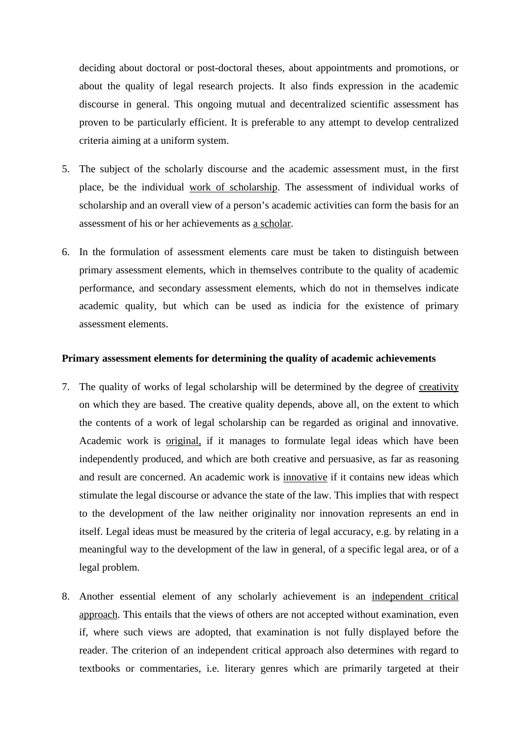deciding about doctoral or post-doctoral theses, about appointments and promotions, or about the quality of legal research projects. It also finds expression in the academic discourse in general. This ongoing mutual and decentralized scientific assessment has proven to be particularly efficient. It is preferable to any attempt to develop centralized criteria aiming at a uniform system.

- 5. The subject of the scholarly discourse and the academic assessment must, in the first place, be the individual work of scholarship. The assessment of individual works of scholarship and an overall view of a person's academic activities can form the basis for an assessment of his or her achievements as a scholar.
- 6. In the formulation of assessment elements care must be taken to distinguish between primary assessment elements, which in themselves contribute to the quality of academic performance, and secondary assessment elements, which do not in themselves indicate academic quality, but which can be used as indicia for the existence of primary assessment elements.

### **Primary assessment elements for determining the quality of academic achievements**

- 7. The quality of works of legal scholarship will be determined by the degree of creativity on which they are based. The creative quality depends, above all, on the extent to which the contents of a work of legal scholarship can be regarded as original and innovative. Academic work is original, if it manages to formulate legal ideas which have been independently produced, and which are both creative and persuasive, as far as reasoning and result are concerned. An academic work is innovative if it contains new ideas which stimulate the legal discourse or advance the state of the law. This implies that with respect to the development of the law neither originality nor innovation represents an end in itself. Legal ideas must be measured by the criteria of legal accuracy, e.g. by relating in a meaningful way to the development of the law in general, of a specific legal area, or of a legal problem.
- 8. Another essential element of any scholarly achievement is an independent critical approach. This entails that the views of others are not accepted without examination, even if, where such views are adopted, that examination is not fully displayed before the reader. The criterion of an independent critical approach also determines with regard to textbooks or commentaries, i.e. literary genres which are primarily targeted at their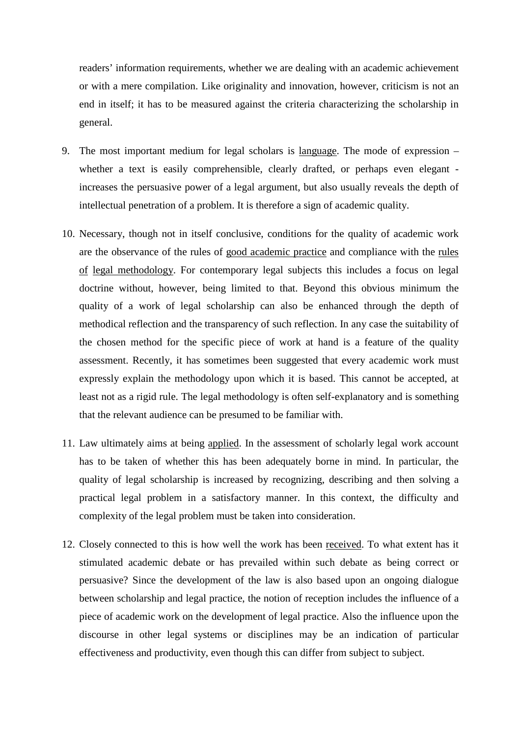readers' information requirements, whether we are dealing with an academic achievement or with a mere compilation. Like originality and innovation, however, criticism is not an end in itself; it has to be measured against the criteria characterizing the scholarship in general.

- 9. The most important medium for legal scholars is language. The mode of expression whether a text is easily comprehensible, clearly drafted, or perhaps even elegant increases the persuasive power of a legal argument, but also usually reveals the depth of intellectual penetration of a problem. It is therefore a sign of academic quality.
- 10. Necessary, though not in itself conclusive, conditions for the quality of academic work are the observance of the rules of good academic practice and compliance with the rules of legal methodology. For contemporary legal subjects this includes a focus on legal doctrine without, however, being limited to that. Beyond this obvious minimum the quality of a work of legal scholarship can also be enhanced through the depth of methodical reflection and the transparency of such reflection. In any case the suitability of the chosen method for the specific piece of work at hand is a feature of the quality assessment. Recently, it has sometimes been suggested that every academic work must expressly explain the methodology upon which it is based. This cannot be accepted, at least not as a rigid rule. The legal methodology is often self-explanatory and is something that the relevant audience can be presumed to be familiar with.
- 11. Law ultimately aims at being applied. In the assessment of scholarly legal work account has to be taken of whether this has been adequately borne in mind. In particular, the quality of legal scholarship is increased by recognizing, describing and then solving a practical legal problem in a satisfactory manner. In this context, the difficulty and complexity of the legal problem must be taken into consideration.
- 12. Closely connected to this is how well the work has been received. To what extent has it stimulated academic debate or has prevailed within such debate as being correct or persuasive? Since the development of the law is also based upon an ongoing dialogue between scholarship and legal practice, the notion of reception includes the influence of a piece of academic work on the development of legal practice. Also the influence upon the discourse in other legal systems or disciplines may be an indication of particular effectiveness and productivity, even though this can differ from subject to subject.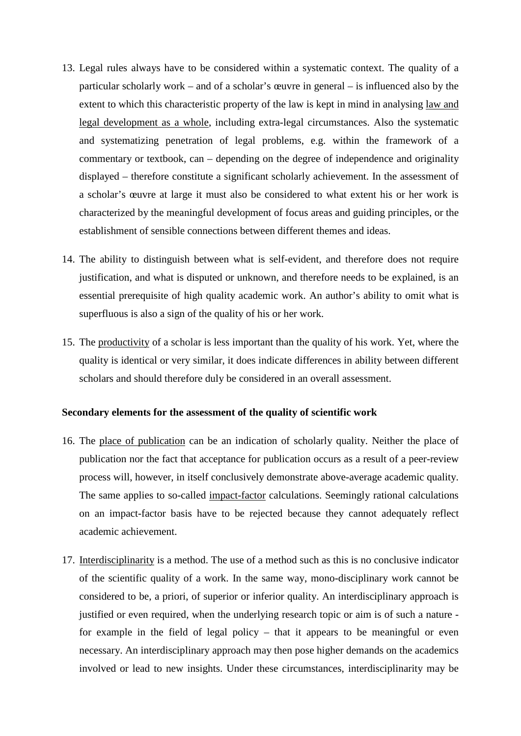- 13. Legal rules always have to be considered within a systematic context. The quality of a particular scholarly work – and of a scholar's œuvre in general – is influenced also by the extent to which this characteristic property of the law is kept in mind in analysing law and legal development as a whole, including extra-legal circumstances. Also the systematic and systematizing penetration of legal problems, e.g. within the framework of a commentary or textbook, can – depending on the degree of independence and originality displayed – therefore constitute a significant scholarly achievement. In the assessment of a scholar's œuvre at large it must also be considered to what extent his or her work is characterized by the meaningful development of focus areas and guiding principles, or the establishment of sensible connections between different themes and ideas.
- 14. The ability to distinguish between what is self-evident, and therefore does not require justification, and what is disputed or unknown, and therefore needs to be explained, is an essential prerequisite of high quality academic work. An author's ability to omit what is superfluous is also a sign of the quality of his or her work.
- 15. The productivity of a scholar is less important than the quality of his work. Yet, where the quality is identical or very similar, it does indicate differences in ability between different scholars and should therefore duly be considered in an overall assessment.

### **Secondary elements for the assessment of the quality of scientific work**

- 16. The place of publication can be an indication of scholarly quality. Neither the place of publication nor the fact that acceptance for publication occurs as a result of a peer-review process will, however, in itself conclusively demonstrate above-average academic quality. The same applies to so-called impact-factor calculations. Seemingly rational calculations on an impact-factor basis have to be rejected because they cannot adequately reflect academic achievement.
- 17. Interdisciplinarity is a method. The use of a method such as this is no conclusive indicator of the scientific quality of a work. In the same way, mono-disciplinary work cannot be considered to be, a priori, of superior or inferior quality. An interdisciplinary approach is justified or even required, when the underlying research topic or aim is of such a nature for example in the field of legal policy – that it appears to be meaningful or even necessary. An interdisciplinary approach may then pose higher demands on the academics involved or lead to new insights. Under these circumstances, interdisciplinarity may be